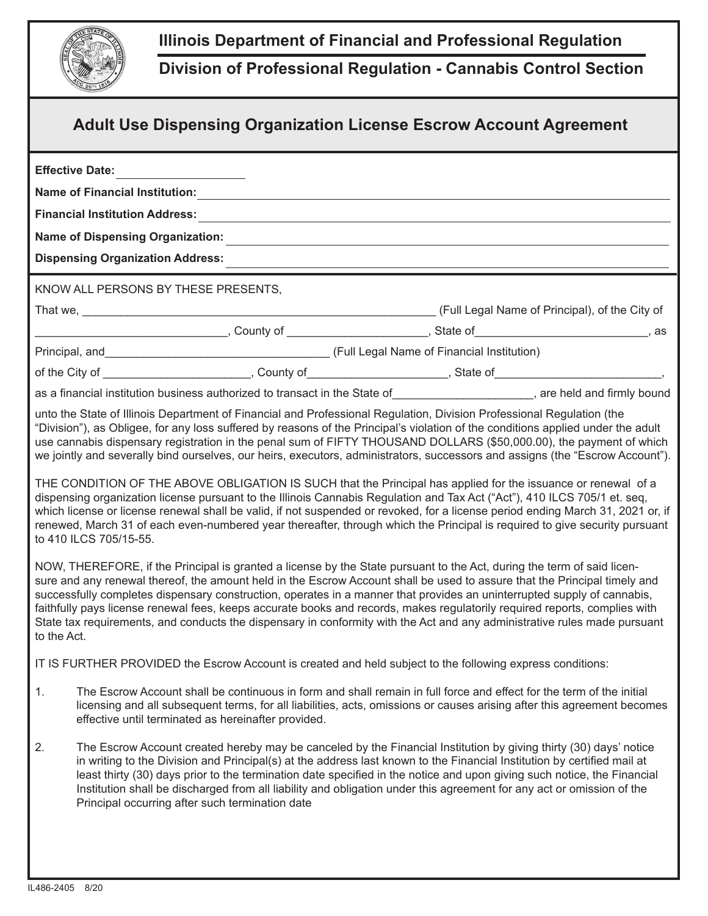

## **Illinois Department of Financial and Professional Regulation**

**Division of Professional Regulation - Cannabis Control Section**

|             |                                     |                                                     | <b>Adult Use Dispensing Organization License Escrow Account Agreement</b>                                                                                                                                                                                                                                                                                                                                                                                                                                                                                                                                                                                                                                                                                                                                                                                                                                                                                                                                                                                                                                                                                                                                                                                                                                                                                                                               |  |
|-------------|-------------------------------------|-----------------------------------------------------|---------------------------------------------------------------------------------------------------------------------------------------------------------------------------------------------------------------------------------------------------------------------------------------------------------------------------------------------------------------------------------------------------------------------------------------------------------------------------------------------------------------------------------------------------------------------------------------------------------------------------------------------------------------------------------------------------------------------------------------------------------------------------------------------------------------------------------------------------------------------------------------------------------------------------------------------------------------------------------------------------------------------------------------------------------------------------------------------------------------------------------------------------------------------------------------------------------------------------------------------------------------------------------------------------------------------------------------------------------------------------------------------------------|--|
|             | Effective Date: _____________       |                                                     |                                                                                                                                                                                                                                                                                                                                                                                                                                                                                                                                                                                                                                                                                                                                                                                                                                                                                                                                                                                                                                                                                                                                                                                                                                                                                                                                                                                                         |  |
|             |                                     |                                                     |                                                                                                                                                                                                                                                                                                                                                                                                                                                                                                                                                                                                                                                                                                                                                                                                                                                                                                                                                                                                                                                                                                                                                                                                                                                                                                                                                                                                         |  |
|             |                                     |                                                     |                                                                                                                                                                                                                                                                                                                                                                                                                                                                                                                                                                                                                                                                                                                                                                                                                                                                                                                                                                                                                                                                                                                                                                                                                                                                                                                                                                                                         |  |
|             |                                     |                                                     |                                                                                                                                                                                                                                                                                                                                                                                                                                                                                                                                                                                                                                                                                                                                                                                                                                                                                                                                                                                                                                                                                                                                                                                                                                                                                                                                                                                                         |  |
|             | KNOW ALL PERSONS BY THESE PRESENTS, |                                                     |                                                                                                                                                                                                                                                                                                                                                                                                                                                                                                                                                                                                                                                                                                                                                                                                                                                                                                                                                                                                                                                                                                                                                                                                                                                                                                                                                                                                         |  |
|             |                                     |                                                     |                                                                                                                                                                                                                                                                                                                                                                                                                                                                                                                                                                                                                                                                                                                                                                                                                                                                                                                                                                                                                                                                                                                                                                                                                                                                                                                                                                                                         |  |
|             |                                     |                                                     | _________________________________, County of __________________________, State of__________________________, as                                                                                                                                                                                                                                                                                                                                                                                                                                                                                                                                                                                                                                                                                                                                                                                                                                                                                                                                                                                                                                                                                                                                                                                                                                                                                         |  |
|             |                                     |                                                     |                                                                                                                                                                                                                                                                                                                                                                                                                                                                                                                                                                                                                                                                                                                                                                                                                                                                                                                                                                                                                                                                                                                                                                                                                                                                                                                                                                                                         |  |
|             |                                     |                                                     | of the City of ____________________________, County of_____________________, State of_____________________,                                                                                                                                                                                                                                                                                                                                                                                                                                                                                                                                                                                                                                                                                                                                                                                                                                                                                                                                                                                                                                                                                                                                                                                                                                                                                             |  |
|             |                                     |                                                     | as a financial institution business authorized to transact in the State of_______________________, are held and firmly bound                                                                                                                                                                                                                                                                                                                                                                                                                                                                                                                                                                                                                                                                                                                                                                                                                                                                                                                                                                                                                                                                                                                                                                                                                                                                            |  |
| to the Act. | to 410 ILCS 705/15-55.              |                                                     | we jointly and severally bind ourselves, our heirs, executors, administrators, successors and assigns (the "Escrow Account").<br>THE CONDITION OF THE ABOVE OBLIGATION IS SUCH that the Principal has applied for the issuance or renewal of a<br>dispensing organization license pursuant to the Illinois Cannabis Regulation and Tax Act ("Act"), 410 ILCS 705/1 et. seq,<br>which license or license renewal shall be valid, if not suspended or revoked, for a license period ending March 31, 2021 or, if<br>renewed, March 31 of each even-numbered year thereafter, through which the Principal is required to give security pursuant<br>NOW, THEREFORE, if the Principal is granted a license by the State pursuant to the Act, during the term of said licen-<br>sure and any renewal thereof, the amount held in the Escrow Account shall be used to assure that the Principal timely and<br>successfully completes dispensary construction, operates in a manner that provides an uninterrupted supply of cannabis,<br>faithfully pays license renewal fees, keeps accurate books and records, makes regulatorily required reports, complies with<br>State tax requirements, and conducts the dispensary in conformity with the Act and any administrative rules made pursuant<br>IT IS FURTHER PROVIDED the Escrow Account is created and held subject to the following express conditions: |  |
| 1.          |                                     | effective until terminated as hereinafter provided. | The Escrow Account shall be continuous in form and shall remain in full force and effect for the term of the initial<br>licensing and all subsequent terms, for all liabilities, acts, omissions or causes arising after this agreement becomes                                                                                                                                                                                                                                                                                                                                                                                                                                                                                                                                                                                                                                                                                                                                                                                                                                                                                                                                                                                                                                                                                                                                                         |  |
|             |                                     |                                                     |                                                                                                                                                                                                                                                                                                                                                                                                                                                                                                                                                                                                                                                                                                                                                                                                                                                                                                                                                                                                                                                                                                                                                                                                                                                                                                                                                                                                         |  |